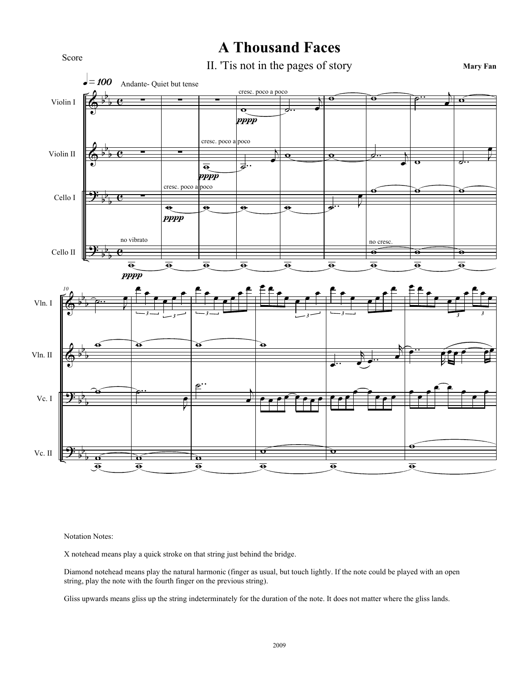

II. 'Tis not in the pages of story

**Mary Fan**



## Notation Notes:

Score

X notehead means play a quick stroke on that string just behind the bridge.

Diamond notehead means play the natural harmonic (finger as usual, but touch lightly. If the note could be played with an open string, play the note with the fourth finger on the previous string).

Gliss upwards means gliss up the string indeterminately for the duration of the note. It does not matter where the gliss lands.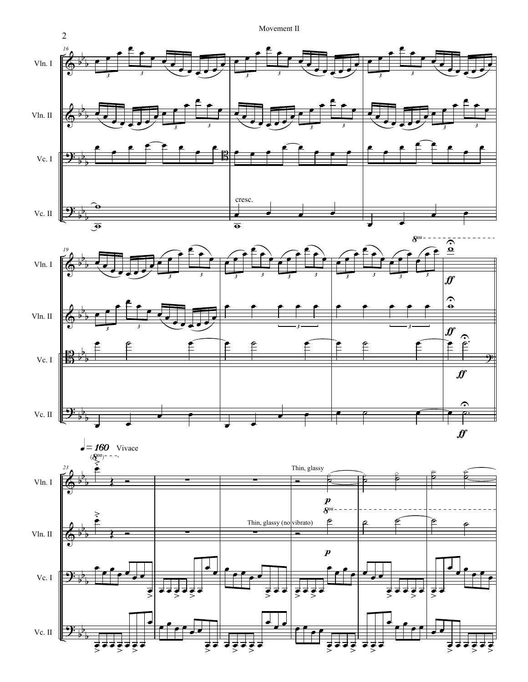

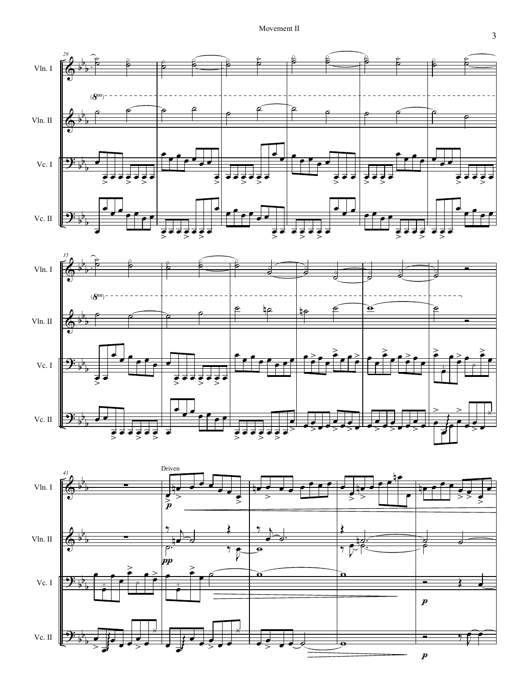



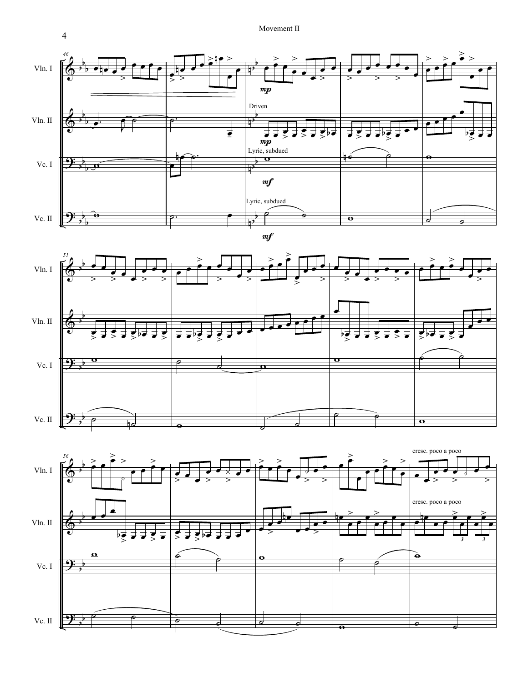

 $\overline{4}$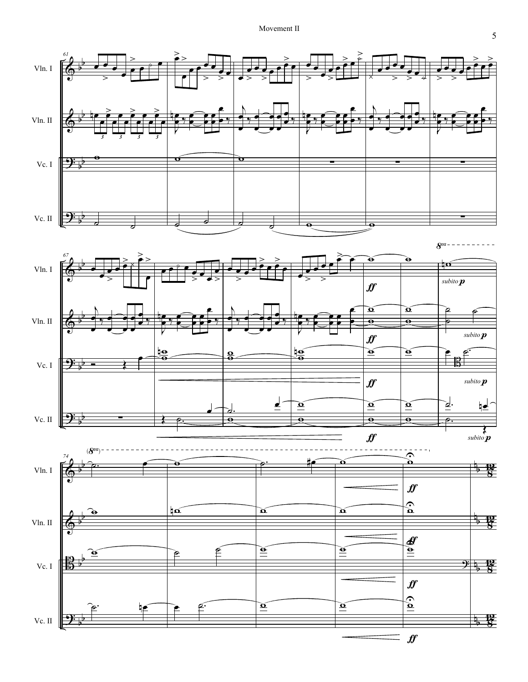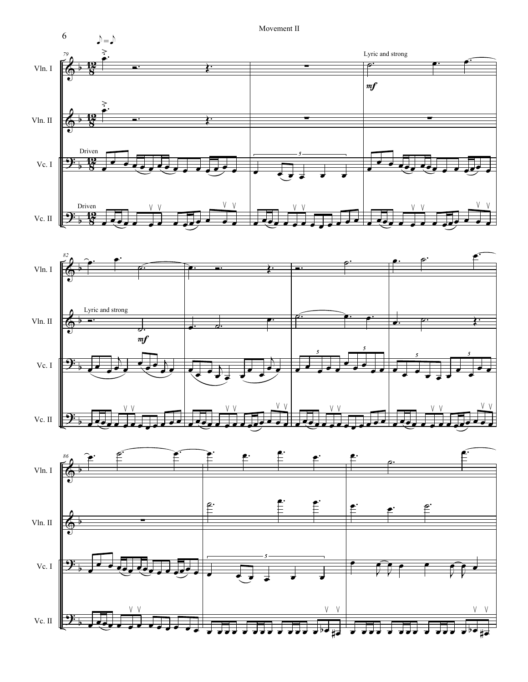



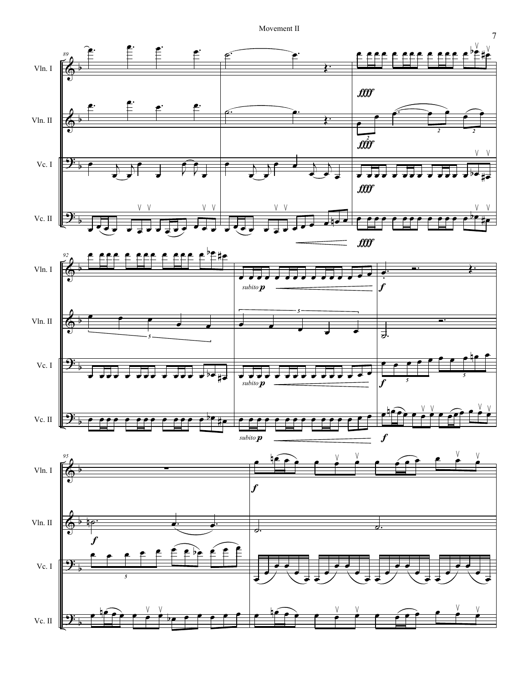

7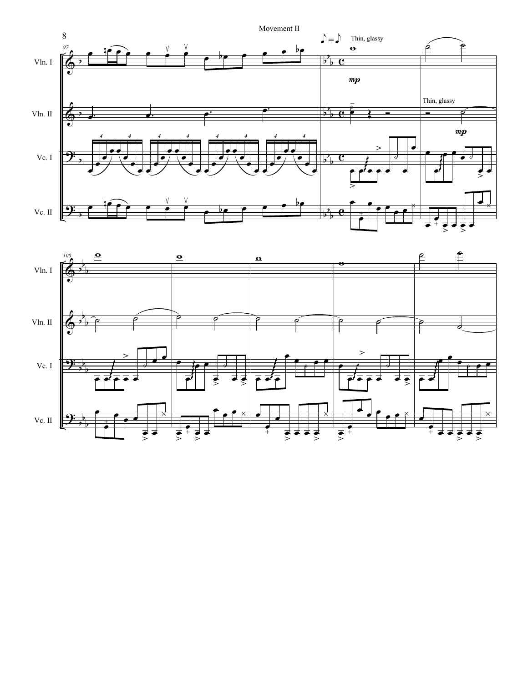

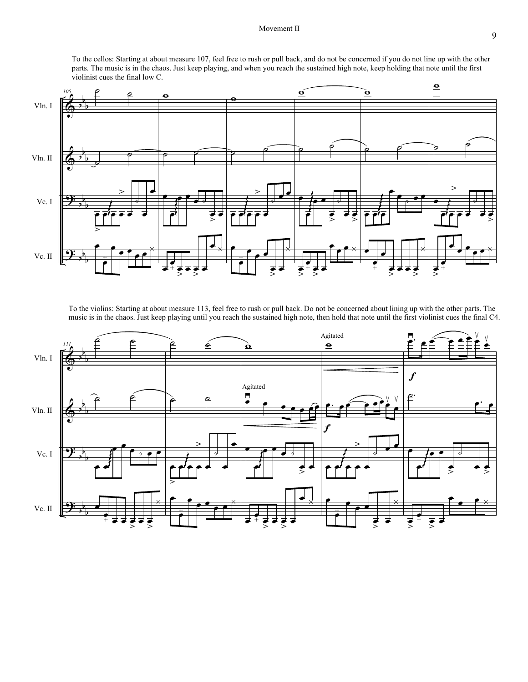To the cellos: Starting at about measure 107, feel free to rush or pull back, and do not be concerned if you do not line up with the other parts. The music is in the chaos. Just keep playing, and when you reach the sustained high note, keep holding that note until the first violinist cues the final low C.



To the violins: Starting at about measure 113, feel free to rush or pull back. Do not be concerned about lining up with the other parts. The music is in the chaos. Just keep playing until you reach the sustained high note, then hold that note until the first violinist cues the final C4.

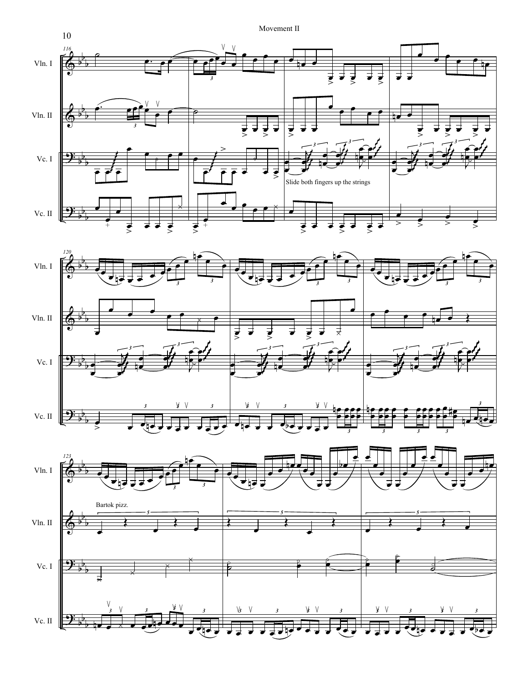



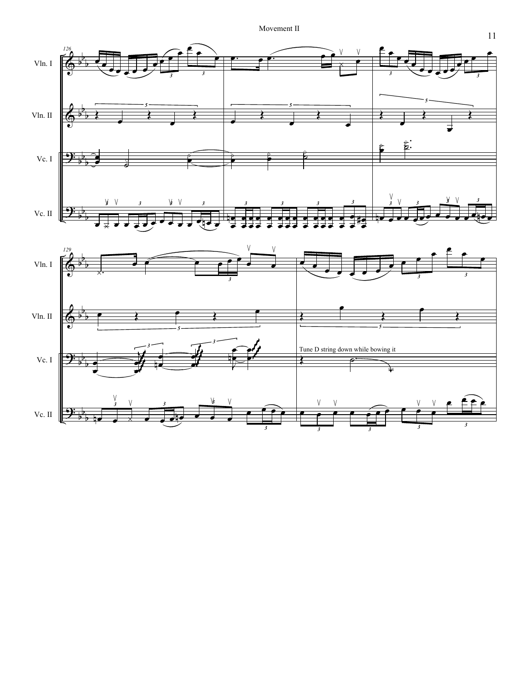